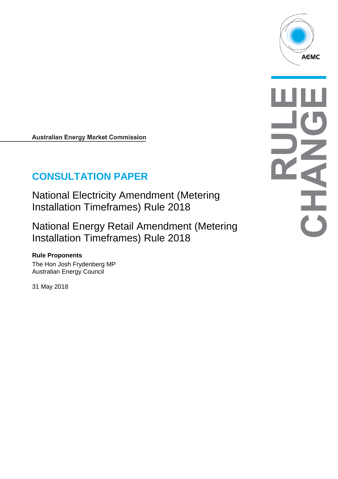

**Australian Energy Market Commission** 

# **CONSULTATION PAPER**

National Electricity Amendment (Metering Installation Timeframes) Rule 2018

National Energy Retail Amendment (Metering Installation Timeframes) Rule 2018

# **Rule Proponents**

The Hon Josh Frydenberg MP Australian Energy Council

31 May 2018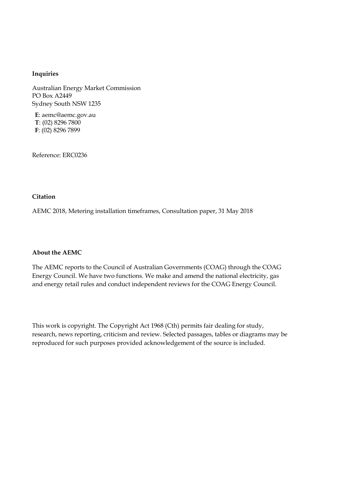#### **Inquiries**

Australian Energy Market Commission PO Box A2449 Sydney South NSW 1235

**E**: aemc@aemc.gov.au **T**: (02) 8296 7800 **F**: (02) 8296 7899

Reference: ERC0236

#### **Citation**

AEMC 2018, Metering installation timeframes, Consultation paper, 31 May 2018

#### **About the AEMC**

The AEMC reports to the Council of Australian Governments (COAG) through the COAG Energy Council. We have two functions. We make and amend the national electricity, gas and energy retail rules and conduct independent reviews for the COAG Energy Council.

This work is copyright. The Copyright Act 1968 (Cth) permits fair dealing for study, research, news reporting, criticism and review. Selected passages, tables or diagrams may be reproduced for such purposes provided acknowledgement of the source is included.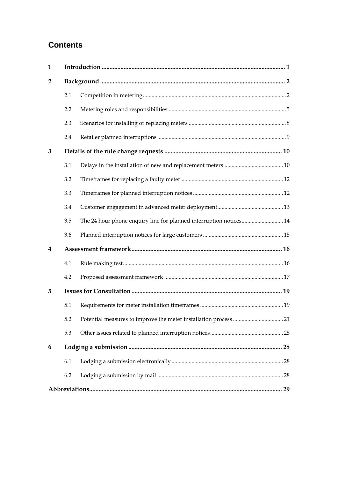# **Contents**

| 1              |     |                                                                    |  |  |  |
|----------------|-----|--------------------------------------------------------------------|--|--|--|
| $\overline{2}$ |     |                                                                    |  |  |  |
|                | 2.1 |                                                                    |  |  |  |
|                | 2.2 |                                                                    |  |  |  |
|                | 2.3 |                                                                    |  |  |  |
|                | 2.4 |                                                                    |  |  |  |
| 3              |     |                                                                    |  |  |  |
|                | 3.1 |                                                                    |  |  |  |
|                | 3.2 |                                                                    |  |  |  |
|                | 3.3 |                                                                    |  |  |  |
|                | 3.4 |                                                                    |  |  |  |
|                | 3.5 | The 24 hour phone enquiry line for planned interruption notices 14 |  |  |  |
|                | 3.6 |                                                                    |  |  |  |
| 4              |     |                                                                    |  |  |  |
|                | 4.1 |                                                                    |  |  |  |
|                | 4.2 |                                                                    |  |  |  |
| 5              |     |                                                                    |  |  |  |
|                | 5.1 |                                                                    |  |  |  |
|                | 5.2 |                                                                    |  |  |  |
|                | 5.3 |                                                                    |  |  |  |
| 6              |     |                                                                    |  |  |  |
|                | 6.1 |                                                                    |  |  |  |
|                | 6.2 |                                                                    |  |  |  |
|                |     |                                                                    |  |  |  |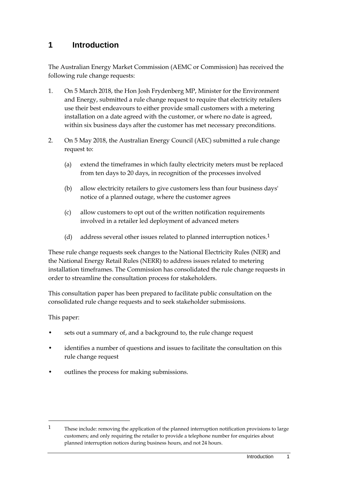# <span id="page-4-0"></span>**1 Introduction**

The Australian Energy Market Commission (AEMC or Commission) has received the following rule change requests:

- 1. On 5 March 2018, the Hon Josh Frydenberg MP, Minister for the Environment and Energy, submitted a rule change request to require that electricity retailers use their best endeavours to either provide small customers with a metering installation on a date agreed with the customer, or where no date is agreed, within six business days after the customer has met necessary preconditions.
- 2. On 5 May 2018, the Australian Energy Council (AEC) submitted a rule change request to:
	- (a) extend the timeframes in which faulty electricity meters must be replaced from ten days to 20 days, in recognition of the processes involved
	- (b) allow electricity retailers to give customers less than four business days' notice of a planned outage, where the customer agrees
	- (c) allow customers to opt out of the written notification requirements involved in a retailer led deployment of advanced meters
	- (d) address several other issues related to planned interruption notices.<sup>[1](#page-4-1)</sup>

These rule change requests seek changes to the National Electricity Rules (NER) and the National Energy Retail Rules (NERR) to address issues related to metering installation timeframes. The Commission has consolidated the rule change requests in order to streamline the consultation process for stakeholders.

This consultation paper has been prepared to facilitate public consultation on the consolidated rule change requests and to seek stakeholder submissions.

This paper:

- sets out a summary of, and a background to, the rule change request
- identifies a number of questions and issues to facilitate the consultation on this rule change request
- outlines the process for making submissions.

<span id="page-4-1"></span><sup>&</sup>lt;sup>1</sup> These include: removing the application of the planned interruption notification provisions to large customers; and only requiring the retailer to provide a telephone number for enquiries about planned interruption notices during business hours, and not 24 hours.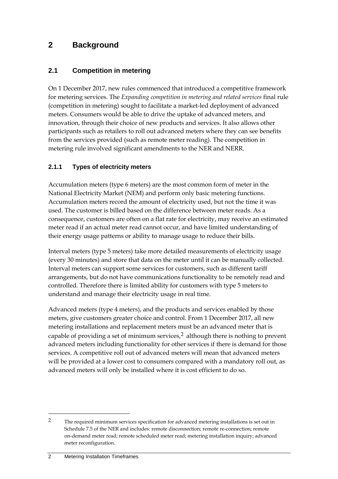# <span id="page-5-0"></span>**2 Background**

#### <span id="page-5-1"></span>**2.1 Competition in metering**

On 1 December 2017, new rules commenced that introduced a competitive framework for metering services. The *Expanding competition in metering and related services* final rule (competition in metering) sought to facilitate a market-led deployment of advanced meters. Consumers would be able to drive the uptake of advanced meters, and innovation, through their choice of new products and services. It also allows other participants such as retailers to roll out advanced meters where they can see benefits from the services provided (such as remote meter reading). The competition in metering rule involved significant amendments to the NER and NERR.

#### **2.1.1 Types of electricity meters**

Accumulation meters (type 6 meters) are the most common form of meter in the National Electricity Market (NEM) and perform only basic metering functions. Accumulation meters record the amount of electricity used, but not the time it was used. The customer is billed based on the difference between meter reads. As a consequence, customers are often on a flat rate for electricity, may receive an estimated meter read if an actual meter read cannot occur, and have limited understanding of their energy usage patterns or ability to manage usage to reduce their bills.

Interval meters (type 5 meters) take more detailed measurements of electricity usage (every 30 minutes) and store that data on the meter until it can be manually collected. Interval meters can support some services for customers, such as different tariff arrangements, but do not have communications functionality to be remotely read and controlled. Therefore there is limited ability for customers with type 5 meters to understand and manage their electricity usage in real time.

Advanced meters (type 4 meters), and the products and services enabled by those meters, give customers greater choice and control. From 1 December 2017, all new metering installations and replacement meters must be an advanced meter that is capable of providing a set of minimum services, $2$  although there is nothing to prevent advanced meters including functionality for other services if there is demand for those services. A competitive roll out of advanced meters will mean that advanced meters will be provided at a lower cost to consumers compared with a mandatory roll out, as advanced meters will only be installed where it is cost efficient to do so.

<span id="page-5-2"></span><sup>2</sup> The required minimum services specification for advanced metering installations is set out in Schedule 7.5 of the NER and includes: remote disconnection; remote re-connection; remote on-demand meter read; remote scheduled meter read; metering installation inquiry; advanced meter reconfiguration.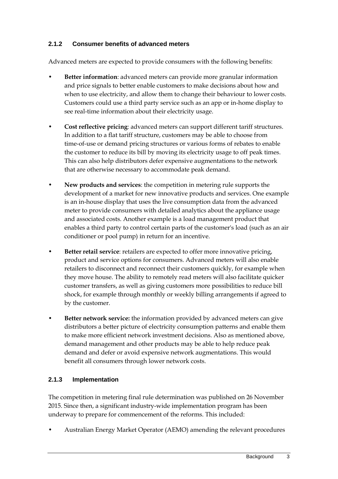#### **2.1.2 Consumer benefits of advanced meters**

Advanced meters are expected to provide consumers with the following benefits:

- **Better information**: advanced meters can provide more granular information and price signals to better enable customers to make decisions about how and when to use electricity, and allow them to change their behaviour to lower costs. Customers could use a third party service such as an app or in-home display to see real-time information about their electricity usage.
- **Cost reflective pricing**: advanced meters can support different tariff structures. In addition to a flat tariff structure, customers may be able to choose from time-of-use or demand pricing structures or various forms of rebates to enable the customer to reduce its bill by moving its electricity usage to off peak times. This can also help distributors defer expensive augmentations to the network that are otherwise necessary to accommodate peak demand.
- **New products and services**: the competition in metering rule supports the development of a market for new innovative products and services. One example is an in-house display that uses the live consumption data from the advanced meter to provide consumers with detailed analytics about the appliance usage and associated costs. Another example is a load management product that enables a third party to control certain parts of the customer's load (such as an air conditioner or pool pump) in return for an incentive.
- **Better retail service**: retailers are expected to offer more innovative pricing, product and service options for consumers. Advanced meters will also enable retailers to disconnect and reconnect their customers quickly, for example when they move house. The ability to remotely read meters will also facilitate quicker customer transfers, as well as giving customers more possibilities to reduce bill shock, for example through monthly or weekly billing arrangements if agreed to by the customer.
- **Better network service:** the information provided by advanced meters can give distributors a better picture of electricity consumption patterns and enable them to make more efficient network investment decisions. Also as mentioned above, demand management and other products may be able to help reduce peak demand and defer or avoid expensive network augmentations. This would benefit all consumers through lower network costs.

#### **2.1.3 Implementation**

The competition in metering final rule determination was published on 26 November 2015. Since then, a significant industry-wide implementation program has been underway to prepare for commencement of the reforms. This included:

• Australian Energy Market Operator (AEMO) amending the relevant procedures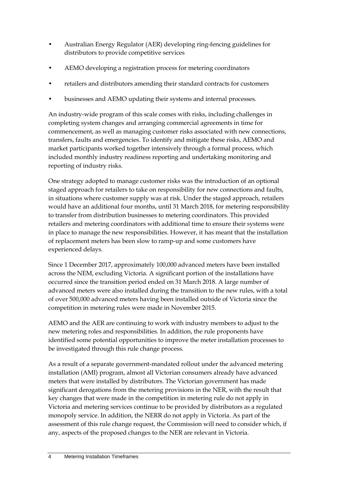- Australian Energy Regulator (AER) developing ring-fencing guidelines for distributors to provide competitive services
- AEMO developing a registration process for metering coordinators
- retailers and distributors amending their standard contracts for customers
- businesses and AEMO updating their systems and internal processes.

An industry-wide program of this scale comes with risks, including challenges in completing system changes and arranging commercial agreements in time for commencement, as well as managing customer risks associated with new connections, transfers, faults and emergencies. To identify and mitigate these risks, AEMO and market participants worked together intensively through a formal process, which included monthly industry readiness reporting and undertaking monitoring and reporting of industry risks.

One strategy adopted to manage customer risks was the introduction of an optional staged approach for retailers to take on responsibility for new connections and faults, in situations where customer supply was at risk. Under the staged approach, retailers would have an additional four months, until 31 March 2018, for metering responsibility to transfer from distribution businesses to metering coordinators. This provided retailers and metering coordinators with additional time to ensure their systems were in place to manage the new responsibilities. However, it has meant that the installation of replacement meters has been slow to ramp-up and some customers have experienced delays.

Since 1 December 2017, approximately 100,000 advanced meters have been installed across the NEM, excluding Victoria. A significant portion of the installations have occurred since the transition period ended on 31 March 2018. A large number of advanced meters were also installed during the transition to the new rules, with a total of over 500,000 advanced meters having been installed outside of Victoria since the competition in metering rules were made in November 2015.

AEMO and the AER are continuing to work with industry members to adjust to the new metering roles and responsibilities. In addition, the rule proponents have identified some potential opportunities to improve the meter installation processes to be investigated through this rule change process.

As a result of a separate government-mandated rollout under the advanced metering installation (AMI) program, almost all Victorian consumers already have advanced meters that were installed by distributors. The Victorian government has made significant derogations from the metering provisions in the NER, with the result that key changes that were made in the competition in metering rule do not apply in Victoria and metering services continue to be provided by distributors as a regulated monopoly service. In addition, the NERR do not apply in Victoria. As part of the assessment of this rule change request, the Commission will need to consider which, if any, aspects of the proposed changes to the NER are relevant in Victoria.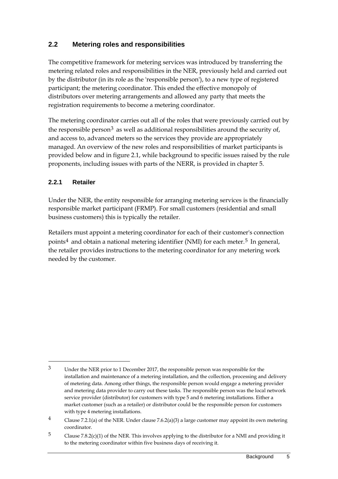#### <span id="page-8-0"></span>**2.2 Metering roles and responsibilities**

The competitive framework for metering services was introduced by transferring the metering related roles and responsibilities in the NER, previously held and carried out by the distributor (in its role as the 'responsible person'), to a new type of registered participant; the metering coordinator. This ended the effective monopoly of distributors over metering arrangements and allowed any party that meets the registration requirements to become a metering coordinator.

The metering coordinator carries out all of the roles that were previously carried out by the responsible person<sup>[3](#page-8-1)</sup> as well as additional responsibilities around the security of, and access to, advanced meters so the services they provide are appropriately managed. An overview of the new roles and responsibilities of market participants is provided below and in figure 2.1, while background to specific issues raised by the rule proponents, including issues with parts of the NERR, is provided in chapter 5.

#### **2.2.1 Retailer**

-

Under the NER, the entity responsible for arranging metering services is the financially responsible market participant (FRMP). For small customers (residential and small business customers) this is typically the retailer.

Retailers must appoint a metering coordinator for each of their customer's connection points<sup>[4](#page-8-2)</sup> and obtain a national metering identifier (NMI) for each meter.<sup>[5](#page-8-3)</sup> In general, the retailer provides instructions to the metering coordinator for any metering work needed by the customer.

<span id="page-8-1"></span><sup>3</sup> Under the NER prior to 1 December 2017, the responsible person was responsible for the installation and maintenance of a metering installation, and the collection, processing and delivery of metering data. Among other things, the responsible person would engage a metering provider and metering data provider to carry out these tasks. The responsible person was the local network service provider (distributor) for customers with type 5 and 6 metering installations. Either a market customer (such as a retailer) or distributor could be the responsible person for customers with type 4 metering installations.

<span id="page-8-2"></span><sup>&</sup>lt;sup>4</sup> Clause 7.2.1(a) of the NER. Under clause 7.6.2(a)(3) a large customer may appoint its own metering coordinator.

<span id="page-8-3"></span> $5$  Clause 7.8.2(c)(1) of the NER. This involves applying to the distributor for a NMI and providing it to the metering coordinator within five business days of receiving it.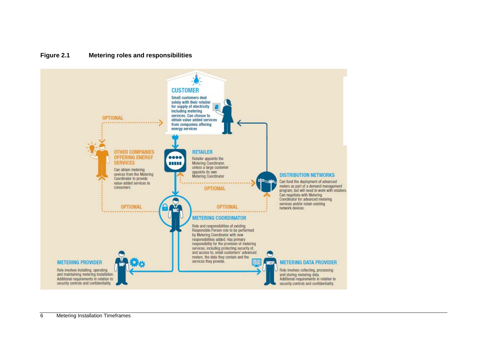#### **Figure 2.1 Metering roles and responsibilities**

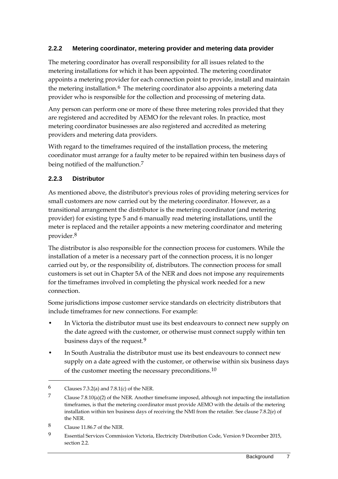#### **2.2.2 Metering coordinator, metering provider and metering data provider**

The metering coordinator has overall responsibility for all issues related to the metering installations for which it has been appointed. The metering coordinator appoints a metering provider for each connection point to provide, install and maintain the metering installation.<sup>[6](#page-10-0)</sup> The metering coordinator also appoints a metering data provider who is responsible for the collection and processing of metering data.

Any person can perform one or more of these three metering roles provided that they are registered and accredited by AEMO for the relevant roles. In practice, most metering coordinator businesses are also registered and accredited as metering providers and metering data providers.

With regard to the timeframes required of the installation process, the metering coordinator must arrange for a faulty meter to be repaired within ten business days of being notified of the malfunction.[7](#page-10-1)

#### **2.2.3 Distributor**

As mentioned above, the distributor's previous roles of providing metering services for small customers are now carried out by the metering coordinator. However, as a transitional arrangement the distributor is the metering coordinator (and metering provider) for existing type 5 and 6 manually read metering installations, until the meter is replaced and the retailer appoints a new metering coordinator and metering provider.[8](#page-10-2)

The distributor is also responsible for the connection process for customers. While the installation of a meter is a necessary part of the connection process, it is no longer carried out by, or the responsibility of, distributors. The connection process for small customers is set out in Chapter 5A of the NER and does not impose any requirements for the timeframes involved in completing the physical work needed for a new connection.

Some jurisdictions impose customer service standards on electricity distributors that include timeframes for new connections. For example:

- In Victoria the distributor must use its best endeavours to connect new supply on the date agreed with the customer, or otherwise must connect supply within ten business days of the request.[9](#page-10-3)
- In South Australia the distributor must use its best endeavours to connect new supply on a date agreed with the customer, or otherwise within six business days of the customer meeting the necessary preconditions.[10](#page-10-4)

<span id="page-10-0"></span><sup>6</sup> Clauses 7.3.2(a) and 7.8.1(c) of the NER.

<span id="page-10-1"></span><sup>7</sup> Clause 7.8.10(a)(2) of the NER. Another timeframe imposed, although not impacting the installation timeframes, is that the metering coordinator must provide AEMO with the details of the metering installation within ten business days of receiving the NMI from the retailer. See clause 7.8.2(e) of the NER.

<span id="page-10-4"></span><span id="page-10-2"></span><sup>8</sup> Clause 11.86.7 of the NER.

<span id="page-10-3"></span><sup>9</sup> Essential Services Commission Victoria, Electricity Distribution Code, Version 9 December 2015, section 2.2.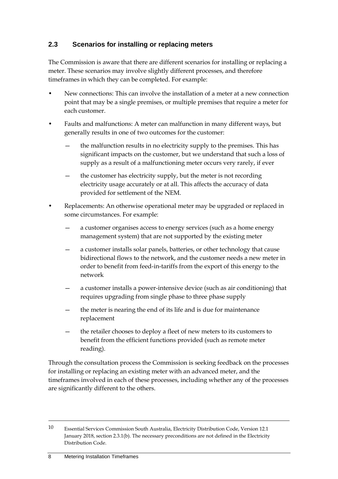### <span id="page-11-0"></span>**2.3 Scenarios for installing or replacing meters**

The Commission is aware that there are different scenarios for installing or replacing a meter. These scenarios may involve slightly different processes, and therefore timeframes in which they can be completed. For example:

- New connections: This can involve the installation of a meter at a new connection point that may be a single premises, or multiple premises that require a meter for each customer.
- Faults and malfunctions: A meter can malfunction in many different ways, but generally results in one of two outcomes for the customer:
	- the malfunction results in no electricity supply to the premises. This has significant impacts on the customer, but we understand that such a loss of supply as a result of a malfunctioning meter occurs very rarely, if ever
	- the customer has electricity supply, but the meter is not recording electricity usage accurately or at all. This affects the accuracy of data provided for settlement of the NEM.
- Replacements: An otherwise operational meter may be upgraded or replaced in some circumstances. For example:
	- a customer organises access to energy services (such as a home energy management system) that are not supported by the existing meter
	- a customer installs solar panels, batteries, or other technology that cause bidirectional flows to the network, and the customer needs a new meter in order to benefit from feed-in-tariffs from the export of this energy to the network
	- a customer installs a power-intensive device (such as air conditioning) that requires upgrading from single phase to three phase supply
	- the meter is nearing the end of its life and is due for maintenance replacement
	- the retailer chooses to deploy a fleet of new meters to its customers to benefit from the efficient functions provided (such as remote meter reading).

Through the consultation process the Commission is seeking feedback on the processes for installing or replacing an existing meter with an advanced meter, and the timeframes involved in each of these processes, including whether any of the processes are significantly different to the others.

<sup>10</sup> Essential Services Commission South Australia, Electricity Distribution Code, Version 12.1 January 2018, section 2.3.1(b). The necessary preconditions are not defined in the Electricity Distribution Code.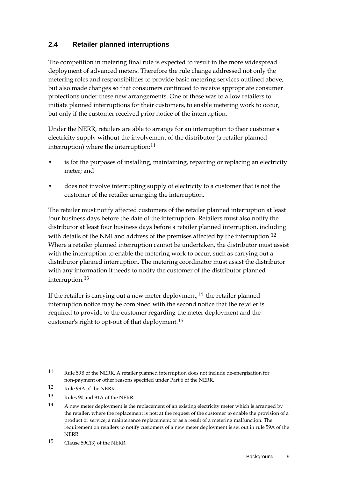### <span id="page-12-0"></span>**2.4 Retailer planned interruptions**

The competition in metering final rule is expected to result in the more widespread deployment of advanced meters. Therefore the rule change addressed not only the metering roles and responsibilities to provide basic metering services outlined above, but also made changes so that consumers continued to receive appropriate consumer protections under these new arrangements. One of these was to allow retailers to initiate planned interruptions for their customers, to enable metering work to occur, but only if the customer received prior notice of the interruption.

Under the NERR, retailers are able to arrange for an interruption to their customer's electricity supply without the involvement of the distributor (a retailer planned interruption) where the interruption:<sup>[11](#page-12-1)</sup>

- is for the purposes of installing, maintaining, repairing or replacing an electricity meter; and
- does not involve interrupting supply of electricity to a customer that is not the customer of the retailer arranging the interruption.

The retailer must notify affected customers of the retailer planned interruption at least four business days before the date of the interruption. Retailers must also notify the distributor at least four business days before a retailer planned interruption, including with details of the NMI and address of the premises affected by the interruption.<sup>[12](#page-12-2)</sup> Where a retailer planned interruption cannot be undertaken, the distributor must assist with the interruption to enable the metering work to occur, such as carrying out a distributor planned interruption. The metering coordinator must assist the distributor with any information it needs to notify the customer of the distributor planned interruption.[13](#page-12-3)

If the retailer is carrying out a new meter deployment, $14$  the retailer planned interruption notice may be combined with the second notice that the retailer is required to provide to the customer regarding the meter deployment and the customer's right to opt-out of that deployment.[15](#page-12-5)

<span id="page-12-1"></span><sup>11</sup> Rule 59B of the NERR. A retailer planned interruption does not include de-energisation for non-payment or other reasons specified under Part 6 of the NERR.

<span id="page-12-2"></span><sup>12</sup> Rule 99A of the NERR.

<span id="page-12-3"></span><sup>13</sup> Rules 90 and 91A of the NERR.

<span id="page-12-4"></span><sup>14</sup> A new meter deployment is the replacement of an existing electricity meter which is arranged by the retailer, where the replacement is not: at the request of the customer to enable the provision of a product or service; a maintenance replacement; or as a result of a metering malfunction. The requirement on retailers to notify customers of a new meter deployment is set out in rule 59A of the NERR.

<span id="page-12-5"></span><sup>15</sup> Clause 59C(3) of the NERR.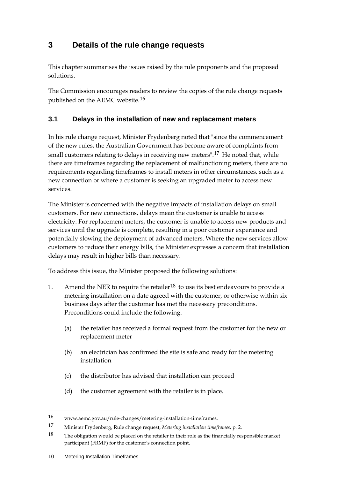# <span id="page-13-0"></span>**3 Details of the rule change requests**

This chapter summarises the issues raised by the rule proponents and the proposed solutions.

The Commission encourages readers to review the copies of the rule change requests published on the AEMC website.[16](#page-13-2)

### <span id="page-13-1"></span>**3.1 Delays in the installation of new and replacement meters**

In his rule change request, Minister Frydenberg noted that "since the commencement of the new rules, the Australian Government has become aware of complaints from small customers relating to delays in receiving new meters".<sup>[17](#page-13-3)</sup> He noted that, while there are timeframes regarding the replacement of malfunctioning meters, there are no requirements regarding timeframes to install meters in other circumstances, such as a new connection or where a customer is seeking an upgraded meter to access new services.

The Minister is concerned with the negative impacts of installation delays on small customers. For new connections, delays mean the customer is unable to access electricity. For replacement meters, the customer is unable to access new products and services until the upgrade is complete, resulting in a poor customer experience and potentially slowing the deployment of advanced meters. Where the new services allow customers to reduce their energy bills, the Minister expresses a concern that installation delays may result in higher bills than necessary.

To address this issue, the Minister proposed the following solutions:

- 1. Amend the NER to require the retailer<sup>[18](#page-13-4)</sup> to use its best endeavours to provide a metering installation on a date agreed with the customer, or otherwise within six business days after the customer has met the necessary preconditions. Preconditions could include the following:
	- (a) the retailer has received a formal request from the customer for the new or replacement meter
	- (b) an electrician has confirmed the site is safe and ready for the metering installation
	- (c) the distributor has advised that installation can proceed
	- (d) the customer agreement with the retailer is in place.

<span id="page-13-2"></span><sup>16</sup> www.aemc.gov.au/rule-changes/metering-installation-timeframes.

<span id="page-13-3"></span><sup>17</sup> Minister Frydenberg, Rule change request, *Metering installation timeframes*, p. 2.

<span id="page-13-4"></span> $18$  The obligation would be placed on the retailer in their role as the financially responsible market participant (FRMP) for the customer's connection point.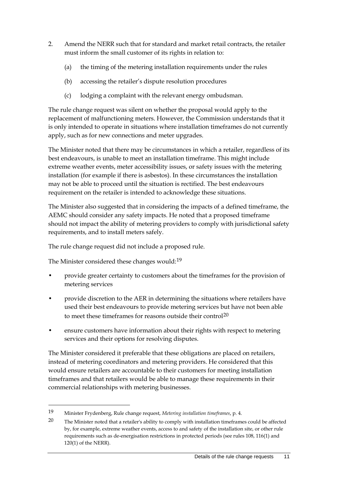- 2. Amend the NERR such that for standard and market retail contracts, the retailer must inform the small customer of its rights in relation to:
	- (a) the timing of the metering installation requirements under the rules
	- (b) accessing the retailer's dispute resolution procedures
	- (c) lodging a complaint with the relevant energy ombudsman.

The rule change request was silent on whether the proposal would apply to the replacement of malfunctioning meters. However, the Commission understands that it is only intended to operate in situations where installation timeframes do not currently apply, such as for new connections and meter upgrades.

The Minister noted that there may be circumstances in which a retailer, regardless of its best endeavours, is unable to meet an installation timeframe. This might include extreme weather events, meter accessibility issues, or safety issues with the metering installation (for example if there is asbestos). In these circumstances the installation may not be able to proceed until the situation is rectified. The best endeavours requirement on the retailer is intended to acknowledge these situations.

The Minister also suggested that in considering the impacts of a defined timeframe, the AEMC should consider any safety impacts. He noted that a proposed timeframe should not impact the ability of metering providers to comply with jurisdictional safety requirements, and to install meters safely.

The rule change request did not include a proposed rule.

The Minister considered these changes would:[19](#page-14-0)

-

- provide greater certainty to customers about the timeframes for the provision of metering services
- provide discretion to the AER in determining the situations where retailers have used their best endeavours to provide metering services but have not been able to meet these timeframes for reasons outside their control<sup>[20](#page-14-1)</sup>
- ensure customers have information about their rights with respect to metering services and their options for resolving disputes.

The Minister considered it preferable that these obligations are placed on retailers, instead of metering coordinators and metering providers. He considered that this would ensure retailers are accountable to their customers for meeting installation timeframes and that retailers would be able to manage these requirements in their commercial relationships with metering businesses.

<span id="page-14-0"></span><sup>19</sup> Minister Frydenberg, Rule change request, *Metering installation timeframes*, p. 4.

<span id="page-14-1"></span><sup>20</sup> The Minister noted that a retailer's ability to comply with installation timeframes could be affected by, for example, extreme weather events, access to and safety of the installation site, or other rule requirements such as de-energisation restrictions in protected periods (see rules 108, 116(1) and 120(1) of the NERR).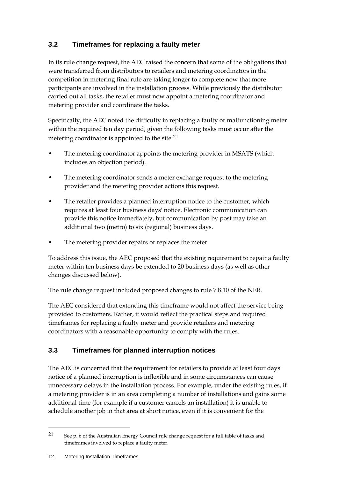### <span id="page-15-0"></span>**3.2 Timeframes for replacing a faulty meter**

In its rule change request, the AEC raised the concern that some of the obligations that were transferred from distributors to retailers and metering coordinators in the competition in metering final rule are taking longer to complete now that more participants are involved in the installation process. While previously the distributor carried out all tasks, the retailer must now appoint a metering coordinator and metering provider and coordinate the tasks.

Specifically, the AEC noted the difficulty in replacing a faulty or malfunctioning meter within the required ten day period, given the following tasks must occur after the metering coordinator is appointed to the site:<sup>[21](#page-15-2)</sup>

- The metering coordinator appoints the metering provider in MSATS (which includes an objection period).
- The metering coordinator sends a meter exchange request to the metering provider and the metering provider actions this request.
- The retailer provides a planned interruption notice to the customer, which requires at least four business days' notice. Electronic communication can provide this notice immediately, but communication by post may take an additional two (metro) to six (regional) business days.
- The metering provider repairs or replaces the meter.

To address this issue, the AEC proposed that the existing requirement to repair a faulty meter within ten business days be extended to 20 business days (as well as other changes discussed below).

The rule change request included proposed changes to rule 7.8.10 of the NER.

The AEC considered that extending this timeframe would not affect the service being provided to customers. Rather, it would reflect the practical steps and required timeframes for replacing a faulty meter and provide retailers and metering coordinators with a reasonable opportunity to comply with the rules.

### <span id="page-15-1"></span>**3.3 Timeframes for planned interruption notices**

The AEC is concerned that the requirement for retailers to provide at least four days' notice of a planned interruption is inflexible and in some circumstances can cause unnecessary delays in the installation process. For example, under the existing rules, if a metering provider is in an area completing a number of installations and gains some additional time (for example if a customer cancels an installation) it is unable to schedule another job in that area at short notice, even if it is convenient for the

<span id="page-15-2"></span><sup>21</sup> See p. 6 of the Australian Energy Council rule change request for a full table of tasks and timeframes involved to replace a faulty meter.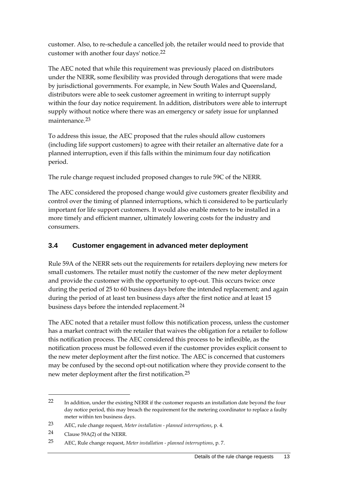customer. Also, to re-schedule a cancelled job, the retailer would need to provide that customer with another four days' notice.[22](#page-16-1)

The AEC noted that while this requirement was previously placed on distributors under the NERR, some flexibility was provided through derogations that were made by jurisdictional governments. For example, in New South Wales and Queensland, distributors were able to seek customer agreement in writing to interrupt supply within the four day notice requirement. In addition, distributors were able to interrupt supply without notice where there was an emergency or safety issue for unplanned maintenance.[23](#page-16-2)

To address this issue, the AEC proposed that the rules should allow customers (including life support customers) to agree with their retailer an alternative date for a planned interruption, even if this falls within the minimum four day notification period.

The rule change request included proposed changes to rule 59C of the NERR.

The AEC considered the proposed change would give customers greater flexibility and control over the timing of planned interruptions, which ti considered to be particularly important for life support customers. It would also enable meters to be installed in a more timely and efficient manner, ultimately lowering costs for the industry and consumers.

### <span id="page-16-0"></span>**3.4 Customer engagement in advanced meter deployment**

Rule 59A of the NERR sets out the requirements for retailers deploying new meters for small customers. The retailer must notify the customer of the new meter deployment and provide the customer with the opportunity to opt-out. This occurs twice: once during the period of 25 to 60 business days before the intended replacement; and again during the period of at least ten business days after the first notice and at least 15 business days before the intended replacement.<sup>[24](#page-16-3)</sup>

The AEC noted that a retailer must follow this notification process, unless the customer has a market contract with the retailer that waives the obligation for a retailer to follow this notification process. The AEC considered this process to be inflexible, as the notification process must be followed even if the customer provides explicit consent to the new meter deployment after the first notice. The AEC is concerned that customers may be confused by the second opt-out notification where they provide consent to the new meter deployment after the first notification.[25](#page-16-4)

<span id="page-16-1"></span><sup>22</sup> In addition, under the existing NERR if the customer requests an installation date beyond the four day notice period, this may breach the requirement for the metering coordinator to replace a faulty meter within ten business days.

<span id="page-16-2"></span><sup>23</sup> AEC, rule change request, *Meter installation - planned interruptions*, p. 4.

<span id="page-16-3"></span><sup>24</sup> Clause 59A(2) of the NERR.

<span id="page-16-4"></span><sup>25</sup> AEC, Rule change request, *Meter installation - planned interruptions*, p. 7.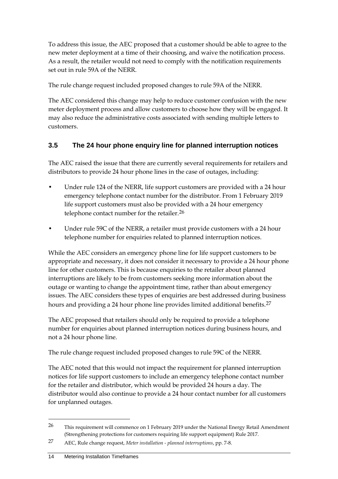To address this issue, the AEC proposed that a customer should be able to agree to the new meter deployment at a time of their choosing, and waive the notification process. As a result, the retailer would not need to comply with the notification requirements set out in rule 59A of the NERR.

The rule change request included proposed changes to rule 59A of the NERR.

The AEC considered this change may help to reduce customer confusion with the new meter deployment process and allow customers to choose how they will be engaged. It may also reduce the administrative costs associated with sending multiple letters to customers.

### <span id="page-17-0"></span>**3.5 The 24 hour phone enquiry line for planned interruption notices**

The AEC raised the issue that there are currently several requirements for retailers and distributors to provide 24 hour phone lines in the case of outages, including:

- Under rule 124 of the NERR, life support customers are provided with a 24 hour emergency telephone contact number for the distributor. From 1 February 2019 life support customers must also be provided with a 24 hour emergency telephone contact number for the retailer.<sup>[26](#page-17-1)</sup>
- Under rule 59C of the NERR, a retailer must provide customers with a 24 hour telephone number for enquiries related to planned interruption notices.

While the AEC considers an emergency phone line for life support customers to be appropriate and necessary, it does not consider it necessary to provide a 24 hour phone line for other customers. This is because enquiries to the retailer about planned interruptions are likely to be from customers seeking more information about the outage or wanting to change the appointment time, rather than about emergency issues. The AEC considers these types of enquiries are best addressed during business hours and providing a 24 hour phone line provides limited additional benefits.<sup>[27](#page-17-2)</sup>

The AEC proposed that retailers should only be required to provide a telephone number for enquiries about planned interruption notices during business hours, and not a 24 hour phone line.

The rule change request included proposed changes to rule 59C of the NERR.

The AEC noted that this would not impact the requirement for planned interruption notices for life support customers to include an emergency telephone contact number for the retailer and distributor, which would be provided 24 hours a day. The distributor would also continue to provide a 24 hour contact number for all customers for unplanned outages.

<span id="page-17-1"></span><sup>&</sup>lt;sup>26</sup> This requirement will commence on 1 February 2019 under the National Energy Retail Amendment (Strengthening protections for customers requiring life support equipment) Rule 2017.

<span id="page-17-2"></span><sup>27</sup> AEC, Rule change request, *Meter installation - planned interruptions*, pp. 7-8.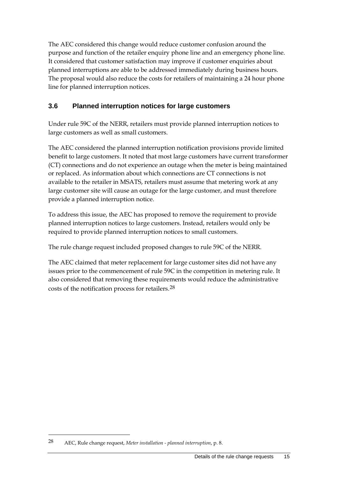The AEC considered this change would reduce customer confusion around the purpose and function of the retailer enquiry phone line and an emergency phone line. It considered that customer satisfaction may improve if customer enquiries about planned interruptions are able to be addressed immediately during business hours. The proposal would also reduce the costs for retailers of maintaining a 24 hour phone line for planned interruption notices.

### <span id="page-18-0"></span>**3.6 Planned interruption notices for large customers**

Under rule 59C of the NERR, retailers must provide planned interruption notices to large customers as well as small customers.

The AEC considered the planned interruption notification provisions provide limited benefit to large customers. It noted that most large customers have current transformer (CT) connections and do not experience an outage when the meter is being maintained or replaced. As information about which connections are CT connections is not available to the retailer in MSATS, retailers must assume that metering work at any large customer site will cause an outage for the large customer, and must therefore provide a planned interruption notice.

To address this issue, the AEC has proposed to remove the requirement to provide planned interruption notices to large customers. Instead, retailers would only be required to provide planned interruption notices to small customers.

The rule change request included proposed changes to rule 59C of the NERR.

The AEC claimed that meter replacement for large customer sites did not have any issues prior to the commencement of rule 59C in the competition in metering rule. It also considered that removing these requirements would reduce the administrative costs of the notification process for retailers.[28](#page-18-1)

<span id="page-18-1"></span><sup>28</sup> AEC, Rule change request, *Meter installation - planned interruption*, p. 8.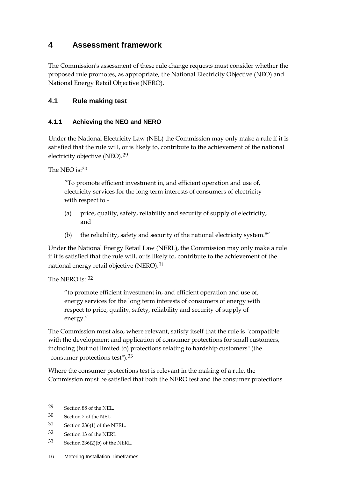# <span id="page-19-0"></span>**4 Assessment framework**

The Commission's assessment of these rule change requests must consider whether the proposed rule promotes, as appropriate, the National Electricity Objective (NEO) and National Energy Retail Objective (NERO).

### <span id="page-19-1"></span>**4.1 Rule making test**

#### **4.1.1 Achieving the NEO and NERO**

Under the National Electricity Law (NEL) the Commission may only make a rule if it is satisfied that the rule will, or is likely to, contribute to the achievement of the national electricity objective (NEO).<sup>[29](#page-19-2)</sup>

The NEO is: $30$ 

"To promote efficient investment in, and efficient operation and use of, electricity services for the long term interests of consumers of electricity with respect to -

- (a) price, quality, safety, reliability and security of supply of electricity; and
- (b) the reliability, safety and security of the national electricity system.""

Under the National Energy Retail Law (NERL), the Commission may only make a rule if it is satisfied that the rule will, or is likely to, contribute to the achievement of the national energy retail objective (NERO).[31](#page-19-4)

The NERO is: [32](#page-19-5)

"to promote efficient investment in, and efficient operation and use of, energy services for the long term interests of consumers of energy with respect to price, quality, safety, reliability and security of supply of energy."

The Commission must also, where relevant, satisfy itself that the rule is "compatible with the development and application of consumer protections for small customers, including (but not limited to) protections relating to hardship customers" (the "consumer protections test"). [33](#page-19-6)

Where the consumer protections test is relevant in the making of a rule, the Commission must be satisfied that both the NERO test and the consumer protections

<span id="page-19-2"></span><sup>29</sup> Section 88 of the NEL.

<span id="page-19-3"></span><sup>30</sup> Section 7 of the NEL.

<span id="page-19-4"></span><sup>31</sup> Section 236(1) of the NERL.

<span id="page-19-5"></span><sup>32</sup> Section 13 of the NERL.

<span id="page-19-6"></span><sup>33</sup> Section 236(2)(b) of the NERL.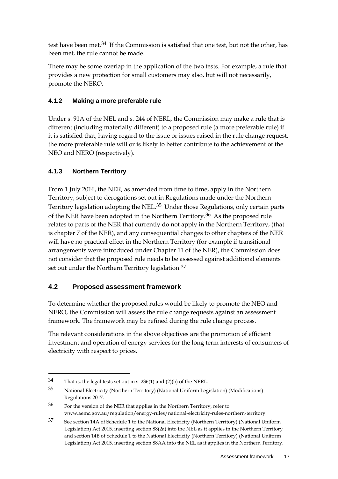test have been met.<sup>[34](#page-20-1)</sup> If the Commission is satisfied that one test, but not the other, has been met, the rule cannot be made.

There may be some overlap in the application of the two tests. For example, a rule that provides a new protection for small customers may also, but will not necessarily, promote the NERO.

#### **4.1.2 Making a more preferable rule**

Under s. 91A of the NEL and s. 244 of NERL, the Commission may make a rule that is different (including materially different) to a proposed rule (a more preferable rule) if it is satisfied that, having regard to the issue or issues raised in the rule change request, the more preferable rule will or is likely to better contribute to the achievement of the NEO and NERO (respectively).

#### **4.1.3 Northern Territory**

-

From 1 July 2016, the NER, as amended from time to time, apply in the Northern Territory, subject to derogations set out in Regulations made under the Northern Territory legislation adopting the NEL.[35](#page-20-2) Under those Regulations, only certain parts of the NER have been adopted in the Northern Territory.[36](#page-20-3) As the proposed rule relates to parts of the NER that currently do not apply in the Northern Territory, (that is chapter 7 of the NER), and any consequential changes to other chapters of the NER will have no practical effect in the Northern Territory (for example if transitional arrangements were introduced under Chapter 11 of the NER), the Commission does not consider that the proposed rule needs to be assessed against additional elements set out under the Northern Territory legislation.<sup>[37](#page-20-4)</sup>

#### <span id="page-20-0"></span>**4.2 Proposed assessment framework**

To determine whether the proposed rules would be likely to promote the NEO and NERO, the Commission will assess the rule change requests against an assessment framework. The framework may be refined during the rule change process.

The relevant considerations in the above objectives are the promotion of efficient investment and operation of energy services for the long term interests of consumers of electricity with respect to prices.

<span id="page-20-1"></span><sup>34</sup> That is, the legal tests set out in s. 236(1) and (2)(b) of the NERL.

<span id="page-20-2"></span><sup>35</sup> National Electricity (Northern Territory) (National Uniform Legislation) (Modifications) Regulations 2017.

<span id="page-20-3"></span><sup>36</sup> For the version of the NER that applies in the Northern Territory, refer to: www.aemc.gov.au/regulation/energy-rules/national-electricity-rules-northern-territory.

<span id="page-20-4"></span><sup>37</sup> See section 14A of Schedule 1 to the National Electricity (Northern Territory) (National Uniform Legislation) Act 2015, inserting section 88(2a) into the NEL as it applies in the Northern Territory and section 14B of Schedule 1 to the National Electricity (Northern Territory) (National Uniform Legislation) Act 2015, inserting section 88AA into the NEL as it applies in the Northern Territory.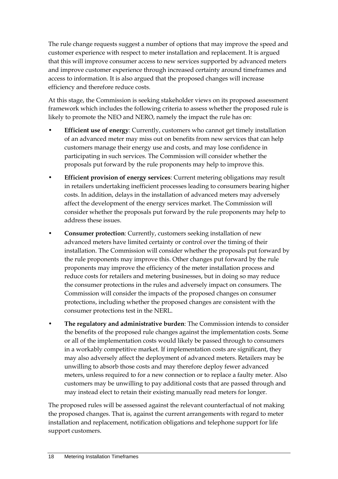The rule change requests suggest a number of options that may improve the speed and customer experience with respect to meter installation and replacement. It is argued that this will improve consumer access to new services supported by advanced meters and improve customer experience through increased certainty around timeframes and access to information. It is also argued that the proposed changes will increase efficiency and therefore reduce costs.

At this stage, the Commission is seeking stakeholder views on its proposed assessment framework which includes the following criteria to assess whether the proposed rule is likely to promote the NEO and NERO, namely the impact the rule has on:

- **Efficient use of energy**: Currently, customers who cannot get timely installation of an advanced meter may miss out on benefits from new services that can help customers manage their energy use and costs, and may lose confidence in participating in such services. The Commission will consider whether the proposals put forward by the rule proponents may help to improve this.
- **Efficient provision of energy services**: Current metering obligations may result in retailers undertaking inefficient processes leading to consumers bearing higher costs. In addition, delays in the installation of advanced meters may adversely affect the development of the energy services market. The Commission will consider whether the proposals put forward by the rule proponents may help to address these issues.
- **Consumer protection**: Currently, customers seeking installation of new advanced meters have limited certainty or control over the timing of their installation. The Commission will consider whether the proposals put forward by the rule proponents may improve this. Other changes put forward by the rule proponents may improve the efficiency of the meter installation process and reduce costs for retailers and metering businesses, but in doing so may reduce the consumer protections in the rules and adversely impact on consumers. The Commission will consider the impacts of the proposed changes on consumer protections, including whether the proposed changes are consistent with the consumer protections test in the NERL.
- **The regulatory and administrative burden**: The Commission intends to consider the benefits of the proposed rule changes against the implementation costs. Some or all of the implementation costs would likely be passed through to consumers in a workably competitive market. If implementation costs are significant, they may also adversely affect the deployment of advanced meters. Retailers may be unwilling to absorb those costs and may therefore deploy fewer advanced meters, unless required to for a new connection or to replace a faulty meter. Also customers may be unwilling to pay additional costs that are passed through and may instead elect to retain their existing manually read meters for longer.

The proposed rules will be assessed against the relevant counterfactual of not making the proposed changes. That is, against the current arrangements with regard to meter installation and replacement, notification obligations and telephone support for life support customers.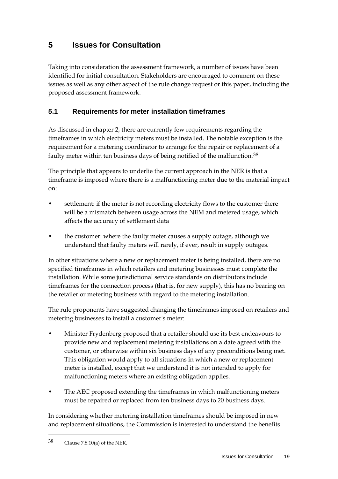# <span id="page-22-0"></span>**5 Issues for Consultation**

Taking into consideration the assessment framework, a number of issues have been identified for initial consultation. Stakeholders are encouraged to comment on these issues as well as any other aspect of the rule change request or this paper, including the proposed assessment framework.

### <span id="page-22-1"></span>**5.1 Requirements for meter installation timeframes**

As discussed in chapter 2, there are currently few requirements regarding the timeframes in which electricity meters must be installed. The notable exception is the requirement for a metering coordinator to arrange for the repair or replacement of a faulty meter within ten business days of being notified of the malfunction.<sup>[38](#page-22-2)</sup>

The principle that appears to underlie the current approach in the NER is that a timeframe is imposed where there is a malfunctioning meter due to the material impact on:

- settlement: if the meter is not recording electricity flows to the customer there will be a mismatch between usage across the NEM and metered usage, which affects the accuracy of settlement data
- the customer: where the faulty meter causes a supply outage, although we understand that faulty meters will rarely, if ever, result in supply outages.

In other situations where a new or replacement meter is being installed, there are no specified timeframes in which retailers and metering businesses must complete the installation. While some jurisdictional service standards on distributors include timeframes for the connection process (that is, for new supply), this has no bearing on the retailer or metering business with regard to the metering installation.

The rule proponents have suggested changing the timeframes imposed on retailers and metering businesses to install a customer's meter:

- Minister Frydenberg proposed that a retailer should use its best endeavours to provide new and replacement metering installations on a date agreed with the customer, or otherwise within six business days of any preconditions being met. This obligation would apply to all situations in which a new or replacement meter is installed, except that we understand it is not intended to apply for malfunctioning meters where an existing obligation applies.
- The AEC proposed extending the timeframes in which malfunctioning meters must be repaired or replaced from ten business days to 20 business days.

In considering whether metering installation timeframes should be imposed in new and replacement situations, the Commission is interested to understand the benefits

<span id="page-22-2"></span><sup>38</sup> Clause 7.8.10(a) of the NER.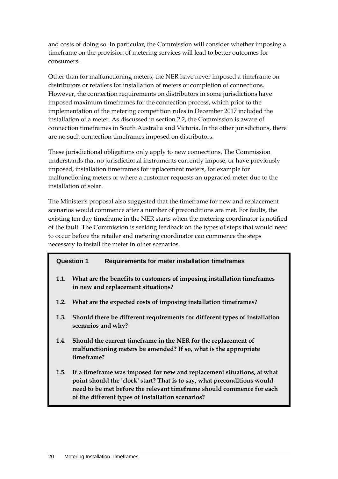and costs of doing so. In particular, the Commission will consider whether imposing a timeframe on the provision of metering services will lead to better outcomes for consumers.

Other than for malfunctioning meters, the NER have never imposed a timeframe on distributors or retailers for installation of meters or completion of connections. However, the connection requirements on distributors in some jurisdictions have imposed maximum timeframes for the connection process, which prior to the implementation of the metering competition rules in December 2017 included the installation of a meter. As discussed in section 2.2, the Commission is aware of connection timeframes in South Australia and Victoria. In the other jurisdictions, there are no such connection timeframes imposed on distributors.

These jurisdictional obligations only apply to new connections. The Commission understands that no jurisdictional instruments currently impose, or have previously imposed, installation timeframes for replacement meters, for example for malfunctioning meters or where a customer requests an upgraded meter due to the installation of solar.

The Minister's proposal also suggested that the timeframe for new and replacement scenarios would commence after a number of preconditions are met. For faults, the existing ten day timeframe in the NER starts when the metering coordinator is notified of the fault. The Commission is seeking feedback on the types of steps that would need to occur before the retailer and metering coordinator can commence the steps necessary to install the meter in other scenarios.

#### **Question 1 Requirements for meter installation timeframes**

- **1.1. What are the benefits to customers of imposing installation timeframes in new and replacement situations?**
- **1.2. What are the expected costs of imposing installation timeframes?**
- **1.3. Should there be different requirements for different types of installation scenarios and why?**
- **1.4. Should the current timeframe in the NER for the replacement of malfunctioning meters be amended? If so, what is the appropriate timeframe?**
- **1.5. If a timeframe was imposed for new and replacement situations, at what point should the 'clock' start? That is to say, what preconditions would need to be met before the relevant timeframe should commence for each of the different types of installation scenarios?**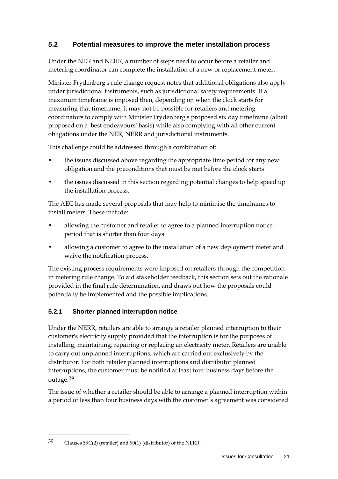### <span id="page-24-0"></span>**5.2 Potential measures to improve the meter installation process**

Under the NER and NERR, a number of steps need to occur before a retailer and metering coordinator can complete the installation of a new or replacement meter.

Minister Frydenberg's rule change request notes that additional obligations also apply under jurisdictional instruments, such as jurisdictional safety requirements. If a maximum timeframe is imposed then, depending on when the clock starts for measuring that timeframe, it may not be possible for retailers and metering coordinators to comply with Minister Frydenberg's proposed six day timeframe (albeit proposed on a 'best endeavours' basis) while also complying with all other current obligations under the NER, NERR and jurisdictional instruments.

This challenge could be addressed through a combination of:

- the issues discussed above regarding the appropriate time period for any new obligation and the preconditions that must be met before the clock starts
- the issues discussed in this section regarding potential changes to help speed up the installation process.

The AEC has made several proposals that may help to minimise the timeframes to install meters. These include:

- allowing the customer and retailer to agree to a planned interruption notice period that is shorter than four days
- allowing a customer to agree to the installation of a new deployment meter and waive the notification process.

The existing process requirements were imposed on retailers through the competition in metering rule change. To aid stakeholder feedback, this section sets out the rationale provided in the final rule determination, and draws out how the proposals could potentially be implemented and the possible implications.

#### **5.2.1 Shorter planned interruption notice**

Under the NERR, retailers are able to arrange a retailer planned interruption to their customer's electricity supply provided that the interruption is for the purposes of installing, maintaining, repairing or replacing an electricity meter. Retailers are unable to carry out unplanned interruptions, which are carried out exclusively by the distributor. For both retailer planned interruptions and distributor planned interruptions, the customer must be notified at least four business days before the outage.[39](#page-24-1)

The issue of whether a retailer should be able to arrange a planned interruption within a period of less than four business days with the customer's agreement was considered

<span id="page-24-1"></span><sup>39</sup> Clauses 59C(2) (retailer) and 90(1) (distributor) of the NERR.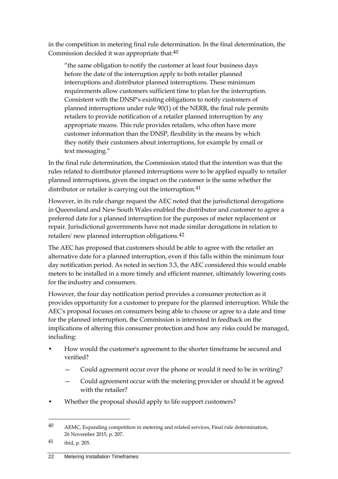in the competition in metering final rule determination. In the final determination, the Commission decided it was appropriate that:<sup>[40](#page-25-0)</sup>

"the same obligation to notify the customer at least four business days before the date of the interruption apply to both retailer planned interruptions and distributor planned interruptions. These minimum requirements allow customers sufficient time to plan for the interruption. Consistent with the DNSP's existing obligations to notify customers of planned interruptions under rule 90(1) of the NERR, the final rule permits retailers to provide notification of a retailer planned interruption by any appropriate means. This rule provides retailers, who often have more customer information than the DNSP, flexibility in the means by which they notify their customers about interruptions, for example by email or text messaging."

In the final rule determination, the Commission stated that the intention was that the rules related to distributor planned interruptions were to be applied equally to retailer planned interruptions, given the impact on the customer is the same whether the distributor or retailer is carrying out the interruption.<sup>[41](#page-25-1)</sup>

However, in its rule change request the AEC noted that the jurisdictional derogations in Queensland and New South Wales enabled the distributor and customer to agree a preferred date for a planned interruption for the purposes of meter replacement or repair. Jurisdictional governments have not made similar derogations in relation to retailers' new planned interruption obligations.[42](#page-25-2)

The AEC has proposed that customers should be able to agree with the retailer an alternative date for a planned interruption, even if this falls within the minimum four day notification period. As noted in section 3.3, the AEC considered this would enable meters to be installed in a more timely and efficient manner, ultimately lowering costs for the industry and consumers.

However, the four day notification period provides a consumer protection as it provides opportunity for a customer to prepare for the planned interruption. While the AEC's proposal focuses on consumers being able to choose or agree to a date and time for the planned interruption, the Commission is interested in feedback on the implications of altering this consumer protection and how any risks could be managed, including:

- How would the customer's agreement to the shorter timeframe be secured and verified?
	- Could agreement occur over the phone or would it need to be in writing?
	- Could agreement occur with the metering provider or should it be agreed with the retailer?
- Whether the proposal should apply to life support customers?

<span id="page-25-2"></span><span id="page-25-0"></span><sup>40</sup> AEMC, Expanding competition in metering and related services, Final rule determination, 26 November 2015, p. 207.

<span id="page-25-1"></span><sup>41</sup> ibid, p. 205.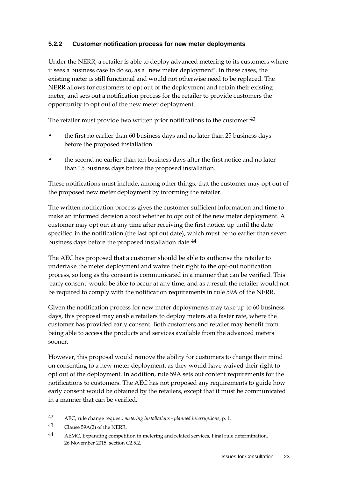#### **5.2.2 Customer notification process for new meter deployments**

Under the NERR, a retailer is able to deploy advanced metering to its customers where it sees a business case to do so, as a "new meter deployment". In these cases, the existing meter is still functional and would not otherwise need to be replaced. The NERR allows for customers to opt out of the deployment and retain their existing meter, and sets out a notification process for the retailer to provide customers the opportunity to opt out of the new meter deployment.

The retailer must provide two written prior notifications to the customer:<sup>[43](#page-26-0)</sup>

- the first no earlier than 60 business days and no later than 25 business days before the proposed installation
- the second no earlier than ten business days after the first notice and no later than 15 business days before the proposed installation.

These notifications must include, among other things, that the customer may opt out of the proposed new meter deployment by informing the retailer.

The written notification process gives the customer sufficient information and time to make an informed decision about whether to opt out of the new meter deployment. A customer may opt out at any time after receiving the first notice, up until the date specified in the notification (the last opt out date), which must be no earlier than seven business days before the proposed installation date.[44](#page-26-1)

The AEC has proposed that a customer should be able to authorise the retailer to undertake the meter deployment and waive their right to the opt-out notification process, so long as the consent is communicated in a manner that can be verified. This 'early consent' would be able to occur at any time, and as a result the retailer would not be required to comply with the notification requirements in rule 59A of the NERR.

Given the notification process for new meter deployments may take up to 60 business days, this proposal may enable retailers to deploy meters at a faster rate, where the customer has provided early consent. Both customers and retailer may benefit from being able to access the products and services available from the advanced meters sooner.

However, this proposal would remove the ability for customers to change their mind on consenting to a new meter deployment, as they would have waived their right to opt out of the deployment. In addition, rule 59A sets out content requirements for the notifications to customers. The AEC has not proposed any requirements to guide how early consent would be obtained by the retailers, except that it must be communicated in a manner that can be verified.

<sup>42</sup> AEC, rule change request, *metering installations - planned interruptions*, p. 1.

<span id="page-26-0"></span><sup>43</sup> Clause 59A(2) of the NERR.

<span id="page-26-1"></span><sup>44</sup> AEMC, Expanding competition in metering and related services, Final rule determination, 26 November 2015, section C2.5.2.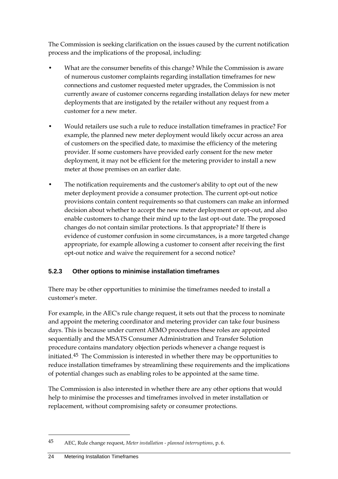The Commission is seeking clarification on the issues caused by the current notification process and the implications of the proposal, including:

- What are the consumer benefits of this change? While the Commission is aware of numerous customer complaints regarding installation timeframes for new connections and customer requested meter upgrades, the Commission is not currently aware of customer concerns regarding installation delays for new meter deployments that are instigated by the retailer without any request from a customer for a new meter.
- Would retailers use such a rule to reduce installation timeframes in practice? For example, the planned new meter deployment would likely occur across an area of customers on the specified date, to maximise the efficiency of the metering provider. If some customers have provided early consent for the new meter deployment, it may not be efficient for the metering provider to install a new meter at those premises on an earlier date.
- The notification requirements and the customer's ability to opt out of the new meter deployment provide a consumer protection. The current opt-out notice provisions contain content requirements so that customers can make an informed decision about whether to accept the new meter deployment or opt-out, and also enable customers to change their mind up to the last opt-out date. The proposed changes do not contain similar protections. Is that appropriate? If there is evidence of customer confusion in some circumstances, is a more targeted change appropriate, for example allowing a customer to consent after receiving the first opt-out notice and waive the requirement for a second notice?

#### **5.2.3 Other options to minimise installation timeframes**

There may be other opportunities to minimise the timeframes needed to install a customer's meter.

For example, in the AEC's rule change request, it sets out that the process to nominate and appoint the metering coordinator and metering provider can take four business days. This is because under current AEMO procedures these roles are appointed sequentially and the MSATS Consumer Administration and Transfer Solution procedure contains mandatory objection periods whenever a change request is initiated.[45](#page-27-0) The Commission is interested in whether there may be opportunities to reduce installation timeframes by streamlining these requirements and the implications of potential changes such as enabling roles to be appointed at the same time.

The Commission is also interested in whether there are any other options that would help to minimise the processes and timeframes involved in meter installation or replacement, without compromising safety or consumer protections.

<span id="page-27-0"></span><sup>45</sup> AEC, Rule change request, *Meter installation - planned interruptions*, p. 6.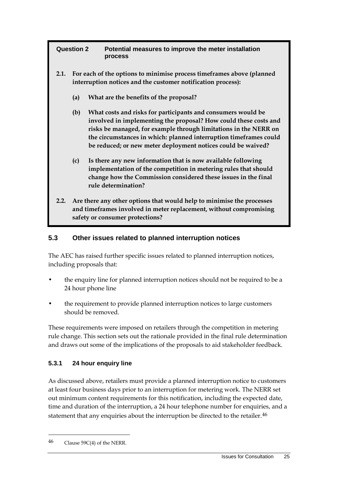| <b>Question 2</b> |                                                                                                                                                                                | Potential measures to improve the meter installation<br>process                                                                                                                                                                                                                                                                           |  |  |
|-------------------|--------------------------------------------------------------------------------------------------------------------------------------------------------------------------------|-------------------------------------------------------------------------------------------------------------------------------------------------------------------------------------------------------------------------------------------------------------------------------------------------------------------------------------------|--|--|
| 2.1.              |                                                                                                                                                                                | For each of the options to minimise process timeframes above (planned<br>interruption notices and the customer notification process):                                                                                                                                                                                                     |  |  |
|                   | (a)                                                                                                                                                                            | What are the benefits of the proposal?                                                                                                                                                                                                                                                                                                    |  |  |
|                   | (b)                                                                                                                                                                            | What costs and risks for participants and consumers would be<br>involved in implementing the proposal? How could these costs and<br>risks be managed, for example through limitations in the NERR on<br>the circumstances in which: planned interruption timeframes could<br>be reduced; or new meter deployment notices could be waived? |  |  |
|                   | (c)                                                                                                                                                                            | Is there any new information that is now available following<br>implementation of the competition in metering rules that should<br>change how the Commission considered these issues in the final<br>rule determination?                                                                                                                  |  |  |
| 2.2.              | Are there any other options that would help to minimise the processes<br>and timeframes involved in meter replacement, without compromising<br>safety or consumer protections? |                                                                                                                                                                                                                                                                                                                                           |  |  |

#### <span id="page-28-0"></span>**5.3 Other issues related to planned interruption notices**

The AEC has raised further specific issues related to planned interruption notices, including proposals that:

- the enquiry line for planned interruption notices should not be required to be a 24 hour phone line
- the requirement to provide planned interruption notices to large customers should be removed.

These requirements were imposed on retailers through the competition in metering rule change. This section sets out the rationale provided in the final rule determination and draws out some of the implications of the proposals to aid stakeholder feedback.

#### **5.3.1 24 hour enquiry line**

As discussed above, retailers must provide a planned interruption notice to customers at least four business days prior to an interruption for metering work. The NERR set out minimum content requirements for this notification, including the expected date, time and duration of the interruption, a 24 hour telephone number for enquiries, and a statement that any enquiries about the interruption be directed to the retailer.<sup>[46](#page-28-1)</sup>

<span id="page-28-1"></span><sup>46</sup> Clause 59C(4) of the NERR.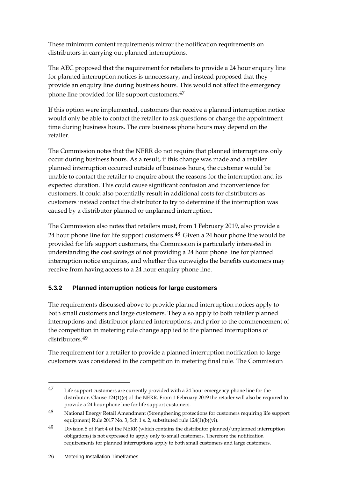These minimum content requirements mirror the notification requirements on distributors in carrying out planned interruptions.

The AEC proposed that the requirement for retailers to provide a 24 hour enquiry line for planned interruption notices is unnecessary, and instead proposed that they provide an enquiry line during business hours. This would not affect the emergency phone line provided for life support customers.[47](#page-29-0)

If this option were implemented, customers that receive a planned interruption notice would only be able to contact the retailer to ask questions or change the appointment time during business hours. The core business phone hours may depend on the retailer.

The Commission notes that the NERR do not require that planned interruptions only occur during business hours. As a result, if this change was made and a retailer planned interruption occurred outside of business hours, the customer would be unable to contact the retailer to enquire about the reasons for the interruption and its expected duration. This could cause significant confusion and inconvenience for customers. It could also potentially result in additional costs for distributors as customers instead contact the distributor to try to determine if the interruption was caused by a distributor planned or unplanned interruption.

The Commission also notes that retailers must, from 1 February 2019, also provide a 24 hour phone line for life support customers.<sup>[48](#page-29-1)</sup> Given a 24 hour phone line would be provided for life support customers, the Commission is particularly interested in understanding the cost savings of not providing a 24 hour phone line for planned interruption notice enquiries, and whether this outweighs the benefits customers may receive from having access to a 24 hour enquiry phone line.

#### **5.3.2 Planned interruption notices for large customers**

The requirements discussed above to provide planned interruption notices apply to both small customers and large customers. They also apply to both retailer planned interruptions and distributor planned interruptions, and prior to the commencement of the competition in metering rule change applied to the planned interruptions of distributors.[49](#page-29-2)

The requirement for a retailer to provide a planned interruption notification to large customers was considered in the competition in metering final rule. The Commission

<span id="page-29-0"></span><sup>47</sup> Life support customers are currently provided with a 24 hour emergency phone line for the distributor. Clause 124(1)(e) of the NERR. From 1 February 2019 the retailer will also be required to provide a 24 hour phone line for life support customers.

<span id="page-29-1"></span><sup>48</sup> National Energy Retail Amendment (Strengthening protections for customers requiring life support equipment) Rule 2017 No. 3, Sch 1 s. 2, substituted rule 124(1)(b)(vi).

<span id="page-29-2"></span><sup>49</sup> Division 5 of Part 4 of the NERR (which contains the distributor planned/unplanned interruption obligations) is not expressed to apply only to small customers. Therefore the notification requirements for planned interruptions apply to both small customers and large customers.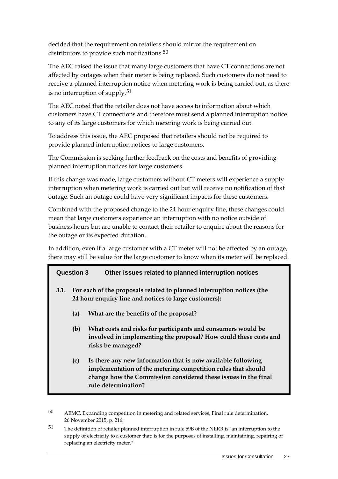decided that the requirement on retailers should mirror the requirement on distributors to provide such notifications.<sup>[50](#page-30-0)</sup>

The AEC raised the issue that many large customers that have CT connections are not affected by outages when their meter is being replaced. Such customers do not need to receive a planned interruption notice when metering work is being carried out, as there is no interruption of supply.[51](#page-30-1)

The AEC noted that the retailer does not have access to information about which customers have CT connections and therefore must send a planned interruption notice to any of its large customers for which metering work is being carried out.

To address this issue, the AEC proposed that retailers should not be required to provide planned interruption notices to large customers.

The Commission is seeking further feedback on the costs and benefits of providing planned interruption notices for large customers.

If this change was made, large customers without CT meters will experience a supply interruption when metering work is carried out but will receive no notification of that outage. Such an outage could have very significant impacts for these customers.

Combined with the proposed change to the 24 hour enquiry line, these changes could mean that large customers experience an interruption with no notice outside of business hours but are unable to contact their retailer to enquire about the reasons for the outage or its expected duration.

In addition, even if a large customer with a CT meter will not be affected by an outage, there may still be value for the large customer to know when its meter will be replaced.

#### **Question 3 Other issues related to planned interruption notices**

- **3.1. For each of the proposals related to planned interruption notices (the 24 hour enquiry line and notices to large customers):**
	- **(a) What are the benefits of the proposal?**

- **(b) What costs and risks for participants and consumers would be involved in implementing the proposal? How could these costs and risks be managed?**
- **(c) Is there any new information that is now available following implementation of the metering competition rules that should change how the Commission considered these issues in the final rule determination?**

<span id="page-30-0"></span><sup>50</sup> AEMC, Expanding competition in metering and related services, Final rule determination, 26 November 2015, p. 216.

<span id="page-30-1"></span><sup>51</sup> The definition of retailer planned interruption in rule 59B of the NERR is "an interruption to the supply of electricity to a customer that: is for the purposes of installing, maintaining, repairing or replacing an electricity meter."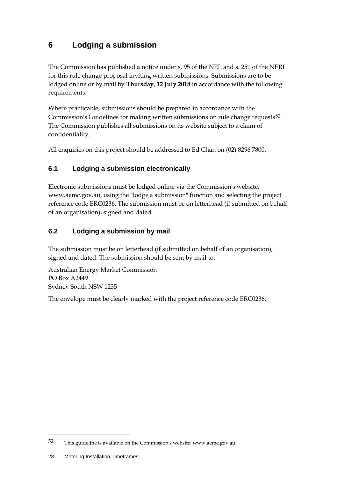# <span id="page-31-0"></span>**6 Lodging a submission**

The Commission has published a notice under s. 95 of the NEL and s. 251 of the NERL for this rule change proposal inviting written submissions. Submissions are to be lodged online or by mail by **Thursday, 12 July 2018** in accordance with the following requirements.

Where practicable, submissions should be prepared in accordance with the Commission's Guidelines for making written submissions on rule change requests<sup>[52](#page-31-3)</sup> The Commission publishes all submissions on its website subject to a claim of confidentiality.

All enquiries on this project should be addressed to Ed Chan on (02) 8296 7800.

### <span id="page-31-1"></span>**6.1 Lodging a submission electronically**

Electronic submissions must be lodged online via the Commission's website, www.aemc.gov.au, using the "lodge a submission" function and selecting the project reference code ERC0236. The submission must be on letterhead (if submitted on behalf of an organisation), signed and dated.

### <span id="page-31-2"></span>**6.2 Lodging a submission by mail**

The submission must be on letterhead (if submitted on behalf of an organisation), signed and dated. The submission should be sent by mail to:

Australian Energy Market Commission PO Box A2449 Sydney South NSW 1235

The envelope must be clearly marked with the project reference code ERC0236.

<span id="page-31-3"></span><sup>52</sup> This guideline is available on the Commission's website: www.aemc.gov.au.